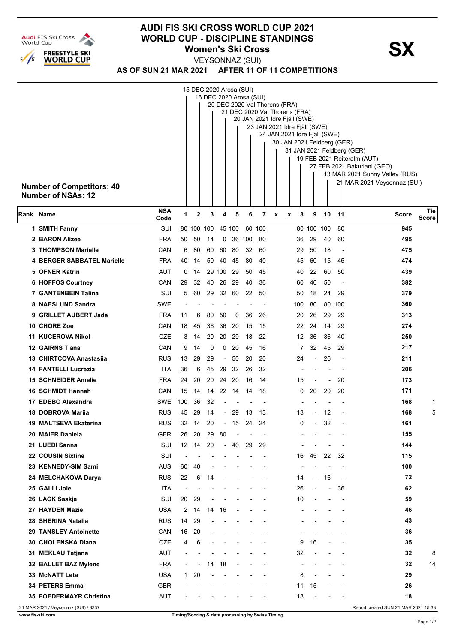

## **AUDI FIS SKI CROSS WORLD CUP 2021 WORLD CUP - DISCIPLINE STANDINGS<br>
Women's Ski Cross Women's Ski Cross**

VEYSONNAZ (SUI)

**AS OF SUN 21 MAR 2021 AFTER 11 OF 11 COMPETITIONS**

|           | <b>Number of Competitors: 40</b><br><b>Number of NSAs: 12</b> | 15 DEC 2020 Arosa (SUI)<br>16 DEC 2020 Arosa (SUI)<br>20 DEC 2020 Val Thorens (FRA)<br>21 DEC 2020 Val Thorens (FRA)<br>20 JAN 2021 Idre Fjäll (SWE)<br>23 JAN 2021 Idre Fjäll (SWE)<br>24 JAN 2021 Idre Fjäll (SWE)<br>30 JAN 2021 Feldberg (GER)<br>31 JAN 2021 Feldberg (GER)<br>19 FEB 2021 Reiteralm (AUT)<br>27 FEB 2021 Bakuriani (GEO)<br>13 MAR 2021 Sunny Valley (RUS)<br>21 MAR 2021 Veysonnaz (SUI) |                          |                |    |                          |        |        |        |   |                |                          |                          |                          |                                      |              |
|-----------|---------------------------------------------------------------|-----------------------------------------------------------------------------------------------------------------------------------------------------------------------------------------------------------------------------------------------------------------------------------------------------------------------------------------------------------------------------------------------------------------|--------------------------|----------------|----|--------------------------|--------|--------|--------|---|----------------|--------------------------|--------------------------|--------------------------|--------------------------------------|--------------|
| Rank Name |                                                               | <b>NSA</b><br>Code                                                                                                                                                                                                                                                                                                                                                                                              | 1                        | $\mathbf 2$    | 3  | 4                        | 5      | 6      | 7      | X | 8<br>X         | 9                        | 10                       | 11                       | <b>Score</b>                         | Tie<br>Score |
|           | 1 SMITH Fanny                                                 | SUI                                                                                                                                                                                                                                                                                                                                                                                                             |                          | 80 100 100     |    |                          | 45 100 |        | 60 100 |   |                | 80 100 100               |                          | 80                       | 945                                  |              |
|           | 2 BARON Alizee                                                | <b>FRA</b>                                                                                                                                                                                                                                                                                                                                                                                                      | 50                       | 50             | 14 | 0                        |        | 36 100 | 80     |   | 36             | 29                       | 40                       | 60                       | 495                                  |              |
|           | <b>3 THOMPSON Marielle</b>                                    | CAN                                                                                                                                                                                                                                                                                                                                                                                                             | 6                        | 80             | 60 | 60                       | 80     | 32     | 60     |   | 29             | 50                       | 18                       | $\overline{\phantom{a}}$ | 475                                  |              |
|           | 4 BERGER SABBATEL Marielle                                    | <b>FRA</b>                                                                                                                                                                                                                                                                                                                                                                                                      | 40                       | 14             | 50 | 40                       | 45     | 80     | 40     |   | 45             | 60                       | 15                       | 45                       | 474                                  |              |
|           | 5 OFNER Katrin                                                | AUT                                                                                                                                                                                                                                                                                                                                                                                                             | 0                        | 14             |    | 29 100                   | 29     | 50     | 45     |   | 40             | 22                       | 60                       | 50                       | 439                                  |              |
|           | 6 HOFFOS Courtney                                             | CAN                                                                                                                                                                                                                                                                                                                                                                                                             | 29                       | 32             | 40 | 26                       | 29     | 40     | 36     |   | 60             | 40                       | 50                       |                          | 382                                  |              |
|           | <b>7 GANTENBEIN Talina</b>                                    | SUI                                                                                                                                                                                                                                                                                                                                                                                                             | 5                        | 60             | 29 |                          | 32 60  | 22     | 50     |   | 50             | 18                       | 24                       | 29                       | 379                                  |              |
|           | 8 NAESLUND Sandra                                             | SWE                                                                                                                                                                                                                                                                                                                                                                                                             |                          |                |    |                          |        |        |        |   | 100            | 80                       | 80                       | 100                      | 360                                  |              |
|           | 9 GRILLET AUBERT Jade                                         | <b>FRA</b>                                                                                                                                                                                                                                                                                                                                                                                                      | 11                       | 6              | 80 | 50                       | 0      | 36     | 26     |   | 20             | 26                       | 29                       | 29                       | 313                                  |              |
| 10        | <b>CHORE Zoe</b>                                              | CAN                                                                                                                                                                                                                                                                                                                                                                                                             | 18                       | 45             | 36 | 36                       | 20     | 15     | 15     |   | 22             | 24                       | 14                       | 29                       | 274                                  |              |
|           | 11 KUCEROVA Nikol                                             | <b>CZE</b>                                                                                                                                                                                                                                                                                                                                                                                                      | 3                        | 14             | 20 | 20                       | 29     | 18     | 22     |   | 12             | 36                       | 36                       | 40                       | 250                                  |              |
|           | 12 GAIRNS Tiana                                               | CAN                                                                                                                                                                                                                                                                                                                                                                                                             | 9                        | 14             | 0  | 0                        | 20     | 45     | 16     |   | 7              | 32                       | 45                       | 29                       | 217                                  |              |
| 13        | <b>CHIRTCOVA Anastasiia</b>                                   | RUS                                                                                                                                                                                                                                                                                                                                                                                                             | 13                       | 29             | 29 | $\overline{\phantom{a}}$ | 50     | 20     | 20     |   | 24             | $\blacksquare$           | 26                       | $\overline{\phantom{a}}$ | 211                                  |              |
|           | 14 FANTELLI Lucrezia                                          | ITA                                                                                                                                                                                                                                                                                                                                                                                                             | 36                       | 6              | 45 | 29                       | 32     | 26     | 32     |   |                |                          |                          |                          | 206                                  |              |
|           | <b>15 SCHNEIDER Amelie</b>                                    | <b>FRA</b>                                                                                                                                                                                                                                                                                                                                                                                                      | 24                       | 20             | 20 | 24                       | 20     | 16     | 14     |   | 15             |                          |                          | 20                       | 173                                  |              |
|           | 16 SCHMIDT Hannah                                             | CAN                                                                                                                                                                                                                                                                                                                                                                                                             | 15                       | 14             | 14 | 22                       | 14     | 14     | 18     |   | 0              | 20                       | 20                       | 20                       | 171                                  |              |
|           | 17 EDEBO Alexandra                                            | SWE                                                                                                                                                                                                                                                                                                                                                                                                             | 100                      | 36             | 32 |                          |        |        |        |   |                |                          |                          |                          | 168                                  | 1            |
| 18        | <b>DOBROVA Marija</b>                                         | <b>RUS</b>                                                                                                                                                                                                                                                                                                                                                                                                      | 45                       | 29             | 14 | $\sim$                   | 29     | 13     | 13     |   | 13             |                          | 12                       |                          | 168                                  | 5            |
|           | 19 MALTSEVA Ekaterina                                         | <b>RUS</b>                                                                                                                                                                                                                                                                                                                                                                                                      | 32                       | 14             | 20 |                          | - 15   | 24     | 24     |   | 0              |                          | 32                       |                          | 161                                  |              |
|           | 20 MAIER Daniela                                              | <b>GER</b>                                                                                                                                                                                                                                                                                                                                                                                                      | 26                       | 20             |    | 29 80                    |        |        |        |   |                |                          |                          |                          | 155                                  |              |
|           | 21 LUEDI Sanna                                                | SUI                                                                                                                                                                                                                                                                                                                                                                                                             | 12                       | 14             | 20 |                          | - 40   | 29     | 29     |   |                |                          |                          |                          | 144                                  |              |
|           | 22 COUSIN Sixtine                                             | SUI                                                                                                                                                                                                                                                                                                                                                                                                             |                          |                |    |                          |        |        |        |   | 16             | 45                       | 22                       | 32                       | 115                                  |              |
|           | 23 KENNEDY-SIM Sami                                           | AUS                                                                                                                                                                                                                                                                                                                                                                                                             | 60                       | 40             |    |                          |        |        |        |   | $\blacksquare$ |                          |                          |                          | 100                                  |              |
|           | 24 MELCHAKOVA Darya                                           | <b>RUS</b>                                                                                                                                                                                                                                                                                                                                                                                                      | 22                       | 6              | 14 |                          |        |        |        |   | 14             | $\overline{\phantom{a}}$ | 16                       | $\sim$                   | 72                                   |              |
|           | 25 GALLI Jole                                                 | <b>ITA</b>                                                                                                                                                                                                                                                                                                                                                                                                      |                          |                |    |                          |        |        |        |   | 26             |                          | $\overline{\phantom{a}}$ | 36                       | 62                                   |              |
|           | 26 LACK Saskja                                                | SUI                                                                                                                                                                                                                                                                                                                                                                                                             | 20                       | 29             |    |                          |        |        |        |   | 10             |                          |                          |                          | 59                                   |              |
|           | 27 HAYDEN Mazie                                               | <b>USA</b>                                                                                                                                                                                                                                                                                                                                                                                                      | 2                        | 14             | 14 | 16                       |        |        |        |   |                |                          |                          |                          | 46                                   |              |
|           | 28 SHERINA Natalia                                            | <b>RUS</b>                                                                                                                                                                                                                                                                                                                                                                                                      | 14                       | 29             |    |                          |        |        |        |   |                |                          |                          |                          | 43                                   |              |
|           | 29 TANSLEY Antoinette                                         | CAN                                                                                                                                                                                                                                                                                                                                                                                                             | 16                       | 20             |    |                          |        |        |        |   |                |                          |                          |                          | 36                                   |              |
|           | 30 CHOLENSKA Diana                                            | CZE                                                                                                                                                                                                                                                                                                                                                                                                             | 4                        | 6              |    |                          |        |        |        |   | 9              | 16                       |                          |                          | 35                                   |              |
|           | 31 MEKLAU Tatjana                                             | <b>AUT</b>                                                                                                                                                                                                                                                                                                                                                                                                      |                          |                |    |                          |        |        |        |   | 32             |                          |                          |                          | 32                                   | 8            |
|           | 32 BALLET BAZ Mylene                                          | <b>FRA</b>                                                                                                                                                                                                                                                                                                                                                                                                      | $\overline{\phantom{a}}$ | $\overline{a}$ | 14 | 18                       |        |        |        |   | $\overline{a}$ |                          |                          |                          | 32                                   | 14           |
|           | 33 McNATT Leta                                                | <b>USA</b>                                                                                                                                                                                                                                                                                                                                                                                                      | $\mathbf{1}$             | 20             |    |                          |        |        |        |   | 8              |                          |                          |                          | 29                                   |              |
|           | 34 PETERS Emma                                                | <b>GBR</b>                                                                                                                                                                                                                                                                                                                                                                                                      |                          |                |    |                          |        |        |        |   | 11             | 15                       |                          |                          | 26                                   |              |
|           | 35 FOEDERMAYR Christina                                       | <b>AUT</b>                                                                                                                                                                                                                                                                                                                                                                                                      |                          |                |    |                          |        |        |        |   | 18             |                          |                          |                          | 18                                   |              |
|           | 21 MAR 2021 / Veysonnaz (SUI) / 8337                          |                                                                                                                                                                                                                                                                                                                                                                                                                 |                          |                |    |                          |        |        |        |   |                |                          |                          |                          | Report created SUN 21 MAR 2021 15:33 |              |